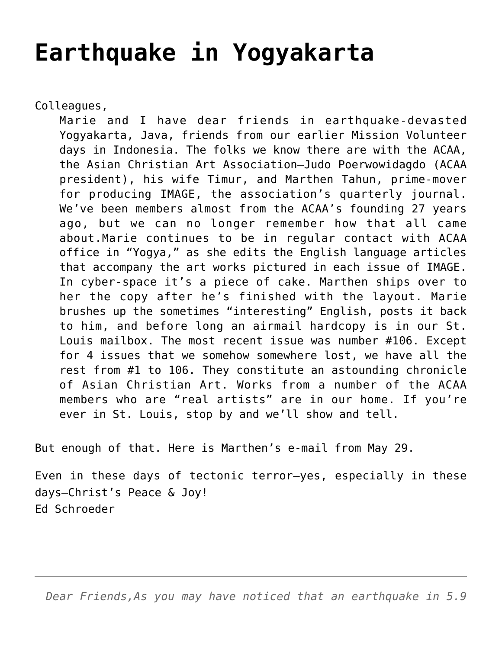## **[Earthquake in Yogyakarta](https://crossings.org/earthquake-in-yogyakarta/)**

Colleagues,

Marie and I have dear friends in earthquake-devasted Yogyakarta, Java, friends from our earlier Mission Volunteer days in Indonesia. The folks we know there are with the ACAA, the Asian Christian Art Association–Judo Poerwowidagdo (ACAA president), his wife Timur, and Marthen Tahun, prime-mover for producing IMAGE, the association's quarterly journal. We've been members almost from the ACAA's founding 27 years ago, but we can no longer remember how that all came about.Marie continues to be in regular contact with ACAA office in "Yogya," as she edits the English language articles that accompany the art works pictured in each issue of IMAGE. In cyber-space it's a piece of cake. Marthen ships over to her the copy after he's finished with the layout. Marie brushes up the sometimes "interesting" English, posts it back to him, and before long an airmail hardcopy is in our St. Louis mailbox. The most recent issue was number #106. Except for 4 issues that we somehow somewhere lost, we have all the rest from #1 to 106. They constitute an astounding chronicle of Asian Christian Art. Works from a number of the ACAA members who are "real artists" are in our home. If you're ever in St. Louis, stop by and we'll show and tell.

But enough of that. Here is Marthen's e-mail from May 29.

Even in these days of tectonic terror–yes, especially in these days–Christ's Peace & Joy! Ed Schroeder

*Dear Friends,As you may have noticed that an earthquake in 5.9*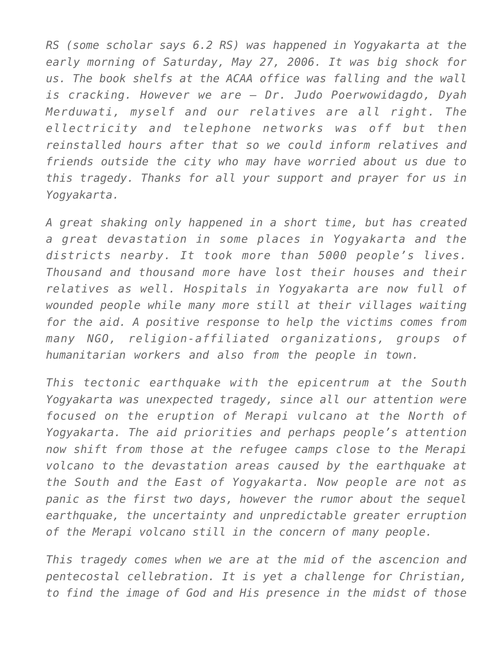*RS (some scholar says 6.2 RS) was happened in Yogyakarta at the early morning of Saturday, May 27, 2006. It was big shock for us. The book shelfs at the ACAA office was falling and the wall is cracking. However we are – Dr. Judo Poerwowidagdo, Dyah Merduwati, myself and our relatives are all right. The ellectricity and telephone networks was off but then reinstalled hours after that so we could inform relatives and friends outside the city who may have worried about us due to this tragedy. Thanks for all your support and prayer for us in Yogyakarta.*

*A great shaking only happened in a short time, but has created a great devastation in some places in Yogyakarta and the districts nearby. It took more than 5000 people's lives. Thousand and thousand more have lost their houses and their relatives as well. Hospitals in Yogyakarta are now full of wounded people while many more still at their villages waiting for the aid. A positive response to help the victims comes from many NGO, religion-affiliated organizations, groups of humanitarian workers and also from the people in town.*

*This tectonic earthquake with the epicentrum at the South Yogyakarta was unexpected tragedy, since all our attention were focused on the eruption of Merapi vulcano at the North of Yogyakarta. The aid priorities and perhaps people's attention now shift from those at the refugee camps close to the Merapi volcano to the devastation areas caused by the earthquake at the South and the East of Yogyakarta. Now people are not as panic as the first two days, however the rumor about the sequel earthquake, the uncertainty and unpredictable greater erruption of the Merapi volcano still in the concern of many people.*

*This tragedy comes when we are at the mid of the ascencion and pentecostal cellebration. It is yet a challenge for Christian, to find the image of God and His presence in the midst of those*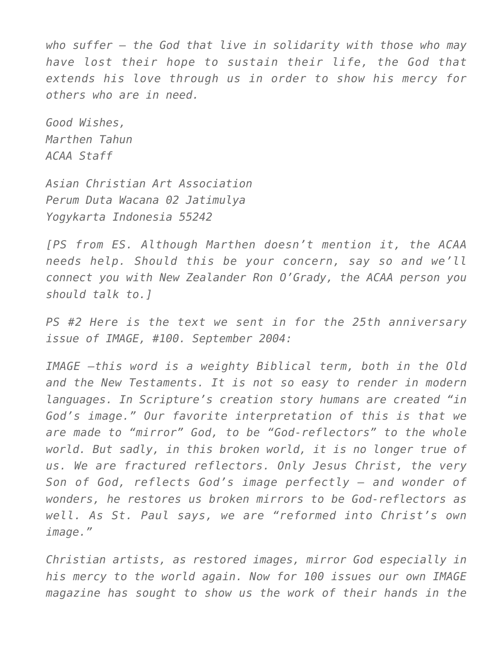*who suffer – the God that live in solidarity with those who may have lost their hope to sustain their life, the God that extends his love through us in order to show his mercy for others who are in need.*

*Good Wishes, Marthen Tahun ACAA Staff*

*Asian Christian Art Association Perum Duta Wacana 02 Jatimulya Yogykarta Indonesia 55242*

*[PS from ES. Although Marthen doesn't mention it, the ACAA needs help. Should this be your concern, say so and we'll connect you with New Zealander Ron O'Grady, the ACAA person you should talk to.]*

*PS #2 Here is the text we sent in for the 25th anniversary issue of IMAGE, #100. September 2004:*

*IMAGE –this word is a weighty Biblical term, both in the Old and the New Testaments. It is not so easy to render in modern languages. In Scripture's creation story humans are created "in God's image." Our favorite interpretation of this is that we are made to "mirror" God, to be "God-reflectors" to the whole world. But sadly, in this broken world, it is no longer true of us. We are fractured reflectors. Only Jesus Christ, the very Son of God, reflects God's image perfectly — and wonder of wonders, he restores us broken mirrors to be God-reflectors as well. As St. Paul says, we are "reformed into Christ's own image."*

*Christian artists, as restored images, mirror God especially in his mercy to the world again. Now for 100 issues our own IMAGE magazine has sought to show us the work of their hands in the*